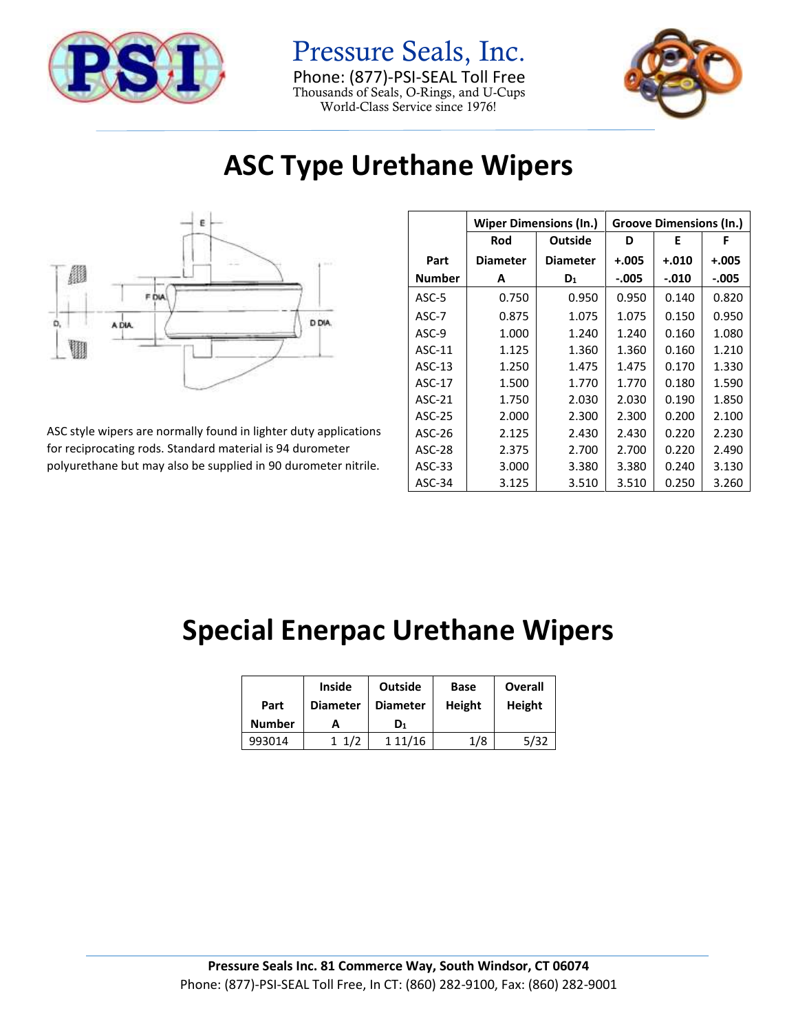

Pressure Seals, Inc. Phone: (877)-PSI-SEAL Toll Free Thousands of Seals, O-Rings, and U-Cups World-Class Service since 1976!



## **ASC Type Urethane Wipers**



ASC style wipers are normally found in lighter duty applications for reciprocating rods. Standard material is 94 durometer polyurethane but may also be supplied in 90 durometer nitrile.

|               | <b>Wiper Dimensions (In.)</b> |                 | <b>Groove Dimensions (In.)</b> |         |         |
|---------------|-------------------------------|-----------------|--------------------------------|---------|---------|
|               | Rod                           | <b>Outside</b>  | D                              | Е       | F       |
| Part          | <b>Diameter</b>               | <b>Diameter</b> | $+.005$                        | $+.010$ | $+.005$ |
| Number        | A                             | $D_1$           | $-.005$                        | $-.010$ | $-.005$ |
| ASC-5         | 0.750                         | 0.950           | 0.950                          | 0.140   | 0.820   |
| $ASC-7$       | 0.875                         | 1.075           | 1.075                          | 0.150   | 0.950   |
| ASC-9         | 1.000                         | 1.240           | 1.240                          | 0.160   | 1.080   |
| $ASC-11$      | 1.125                         | 1.360           | 1.360                          | 0.160   | 1.210   |
| $ASC-13$      | 1.250                         | 1.475           | 1.475                          | 0.170   | 1.330   |
| $ASC-17$      | 1.500                         | 1.770           | 1.770                          | 0.180   | 1.590   |
| ASC-21        | 1.750                         | 2.030           | 2.030                          | 0.190   | 1.850   |
| ASC-25        | 2.000                         | 2.300           | 2.300                          | 0.200   | 2.100   |
| ASC-26        | 2.125                         | 2.430           | 2.430                          | 0.220   | 2.230   |
| <b>ASC-28</b> | 2.375                         | 2.700           | 2.700                          | 0.220   | 2.490   |
| $ASC-33$      | 3.000                         | 3.380           | 3.380                          | 0.240   | 3.130   |
| ASC-34        | 3.125                         | 3.510           | 3.510                          | 0.250   | 3.260   |

## **Special Enerpac Urethane Wipers**

|               | <b>Inside</b>   | Outside         | Base   | Overall |
|---------------|-----------------|-----------------|--------|---------|
| Part          | <b>Diameter</b> | <b>Diameter</b> | Height | Height  |
| <b>Number</b> | А               | D1              |        |         |
| 993014        | 1/2             | 111/16          | 1/8    | 5/32    |